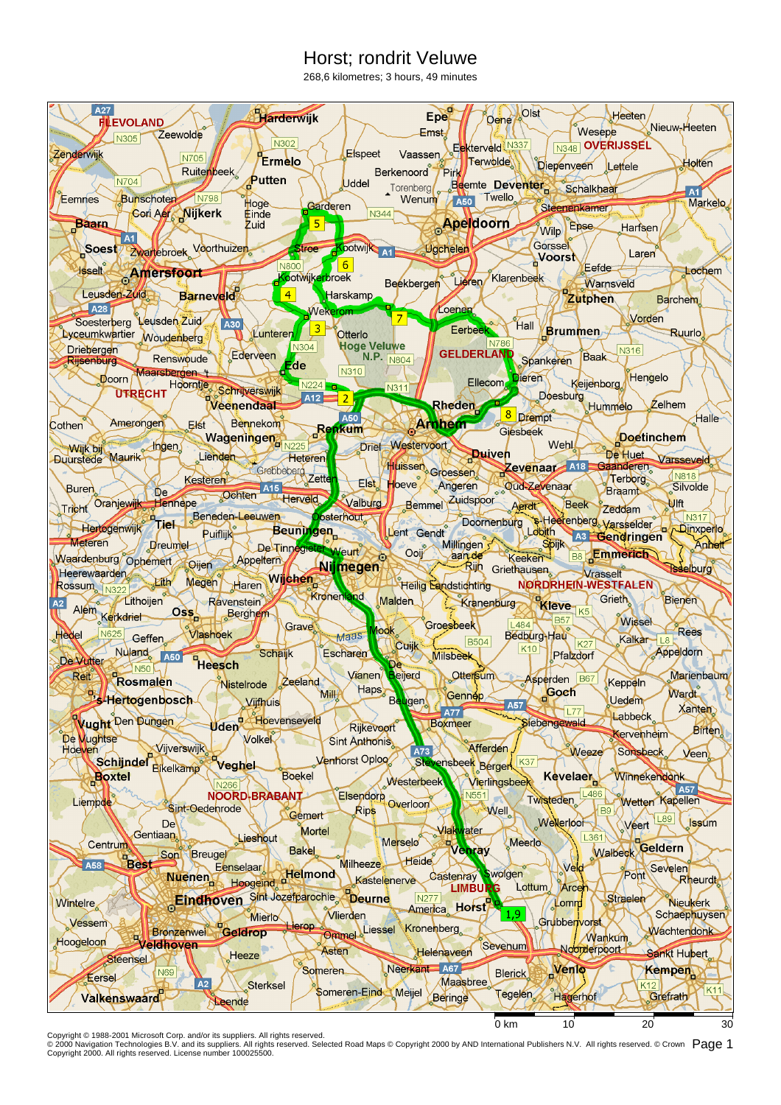## Horst; rondrit Veluwe

268,6 kilometres; 3 hours, 49 minutes



Copyright © 1988-2001 Microsoft Corp. and/or its suppliers. All rights reserved.<br>© 2000 Navigation Technologies B.V. and its suppliers. All rights reserved. Selected Road Maps © Copyright 2000 by AND International Publish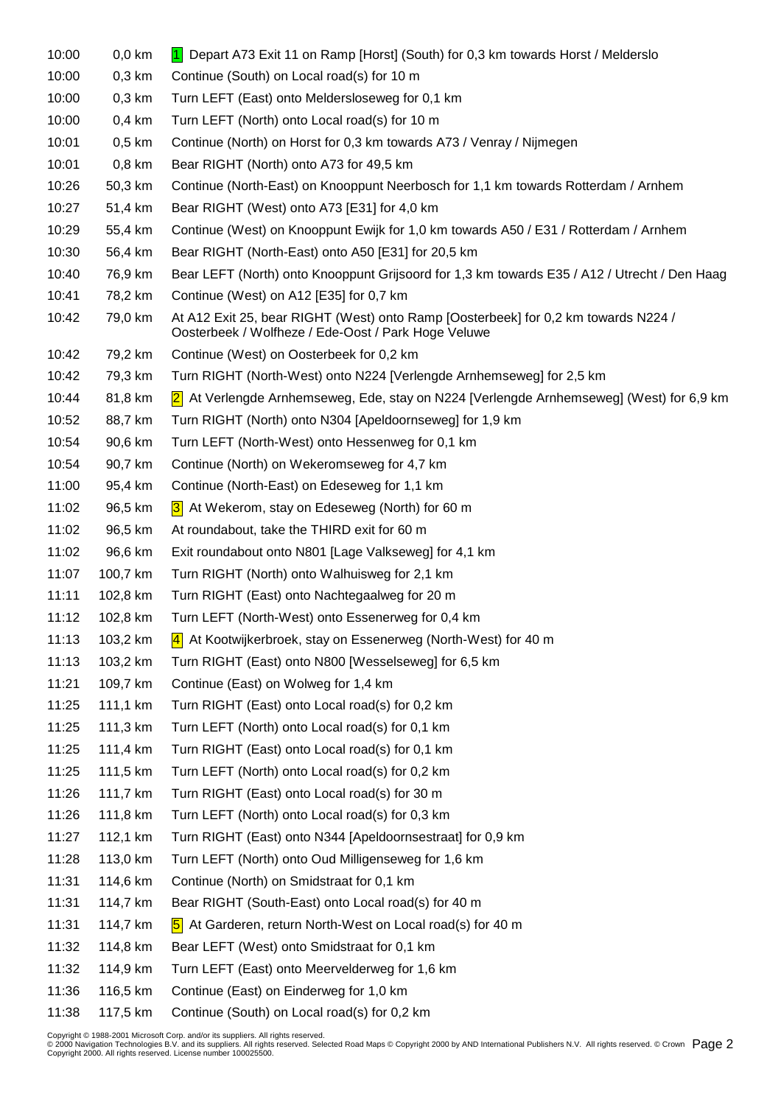| 10:00 | $0,0$ km | 1 Depart A73 Exit 11 on Ramp [Horst] (South) for 0,3 km towards Horst / Melderslo                                                         |
|-------|----------|-------------------------------------------------------------------------------------------------------------------------------------------|
| 10:00 | $0,3$ km | Continue (South) on Local road(s) for 10 m                                                                                                |
| 10:00 | $0,3$ km | Turn LEFT (East) onto Meldersloseweg for 0,1 km                                                                                           |
| 10:00 | $0,4$ km | Turn LEFT (North) onto Local road(s) for 10 m                                                                                             |
| 10:01 | $0,5$ km | Continue (North) on Horst for 0,3 km towards A73 / Venray / Nijmegen                                                                      |
| 10:01 | $0,8$ km | Bear RIGHT (North) onto A73 for 49,5 km                                                                                                   |
| 10:26 | 50,3 km  | Continue (North-East) on Knooppunt Neerbosch for 1,1 km towards Rotterdam / Arnhem                                                        |
| 10:27 | 51,4 km  | Bear RIGHT (West) onto A73 [E31] for 4,0 km                                                                                               |
| 10:29 | 55,4 km  | Continue (West) on Knooppunt Ewijk for 1,0 km towards A50 / E31 / Rotterdam / Arnhem                                                      |
| 10:30 | 56,4 km  | Bear RIGHT (North-East) onto A50 [E31] for 20,5 km                                                                                        |
| 10:40 | 76,9 km  | Bear LEFT (North) onto Knooppunt Grijsoord for 1,3 km towards E35 / A12 / Utrecht / Den Haag                                              |
| 10:41 | 78,2 km  | Continue (West) on A12 [E35] for 0,7 km                                                                                                   |
| 10:42 | 79,0 km  | At A12 Exit 25, bear RIGHT (West) onto Ramp [Oosterbeek] for 0,2 km towards N224 /<br>Oosterbeek / Wolfheze / Ede-Oost / Park Hoge Veluwe |
| 10:42 | 79,2 km  | Continue (West) on Oosterbeek for 0,2 km                                                                                                  |
| 10:42 | 79,3 km  | Turn RIGHT (North-West) onto N224 [Verlengde Arnhemseweg] for 2,5 km                                                                      |
| 10:44 | 81,8 km  | 2 At Verlengde Arnhemseweg, Ede, stay on N224 [Verlengde Arnhemseweg] (West) for 6,9 km                                                   |
| 10:52 | 88,7 km  | Turn RIGHT (North) onto N304 [Apeldoornseweg] for 1,9 km                                                                                  |
| 10:54 | 90,6 km  | Turn LEFT (North-West) onto Hessenweg for 0,1 km                                                                                          |
| 10:54 | 90,7 km  | Continue (North) on Wekeromseweg for 4,7 km                                                                                               |
| 11:00 | 95,4 km  | Continue (North-East) on Edeseweg for 1,1 km                                                                                              |
| 11:02 | 96,5 km  | 3 At Wekerom, stay on Edeseweg (North) for 60 m                                                                                           |
| 11:02 | 96,5 km  | At roundabout, take the THIRD exit for 60 m                                                                                               |
| 11:02 | 96,6 km  | Exit roundabout onto N801 [Lage Valkseweg] for 4,1 km                                                                                     |
| 11:07 | 100,7 km | Turn RIGHT (North) onto Walhuisweg for 2,1 km                                                                                             |
| 11:11 | 102,8 km | Turn RIGHT (East) onto Nachtegaalweg for 20 m                                                                                             |
| 11:12 | 102,8 km | Turn LEFT (North-West) onto Essenerweg for 0,4 km                                                                                         |
| 11:13 | 103,2 km | 4 At Kootwijkerbroek, stay on Essenerweg (North-West) for 40 m                                                                            |
| 11:13 | 103,2 km | Turn RIGHT (East) onto N800 [Wesselseweg] for 6,5 km                                                                                      |
| 11:21 | 109,7 km | Continue (East) on Wolweg for 1,4 km                                                                                                      |
| 11:25 | 111,1 km | Turn RIGHT (East) onto Local road(s) for 0,2 km                                                                                           |
| 11:25 | 111,3 km | Turn LEFT (North) onto Local road(s) for 0,1 km                                                                                           |
| 11:25 | 111,4 km | Turn RIGHT (East) onto Local road(s) for 0,1 km                                                                                           |
| 11:25 | 111,5 km | Turn LEFT (North) onto Local road(s) for 0,2 km                                                                                           |
| 11:26 | 111,7 km | Turn RIGHT (East) onto Local road(s) for 30 m                                                                                             |
| 11:26 | 111,8 km | Turn LEFT (North) onto Local road(s) for 0,3 km                                                                                           |
| 11:27 | 112,1 km | Turn RIGHT (East) onto N344 [Apeldoornsestraat] for 0,9 km                                                                                |
| 11:28 | 113,0 km | Turn LEFT (North) onto Oud Milligenseweg for 1,6 km                                                                                       |
| 11:31 | 114,6 km | Continue (North) on Smidstraat for 0,1 km                                                                                                 |
| 11:31 | 114,7 km | Bear RIGHT (South-East) onto Local road(s) for 40 m                                                                                       |
| 11:31 | 114,7 km | 5 At Garderen, return North-West on Local road(s) for 40 m                                                                                |
| 11:32 | 114,8 km | Bear LEFT (West) onto Smidstraat for 0,1 km                                                                                               |
| 11:32 | 114,9 km | Turn LEFT (East) onto Meervelderweg for 1,6 km                                                                                            |
| 11:36 | 116,5 km | Continue (East) on Einderweg for 1,0 km                                                                                                   |
| 11:38 | 117,5 km | Continue (South) on Local road(s) for 0,2 km                                                                                              |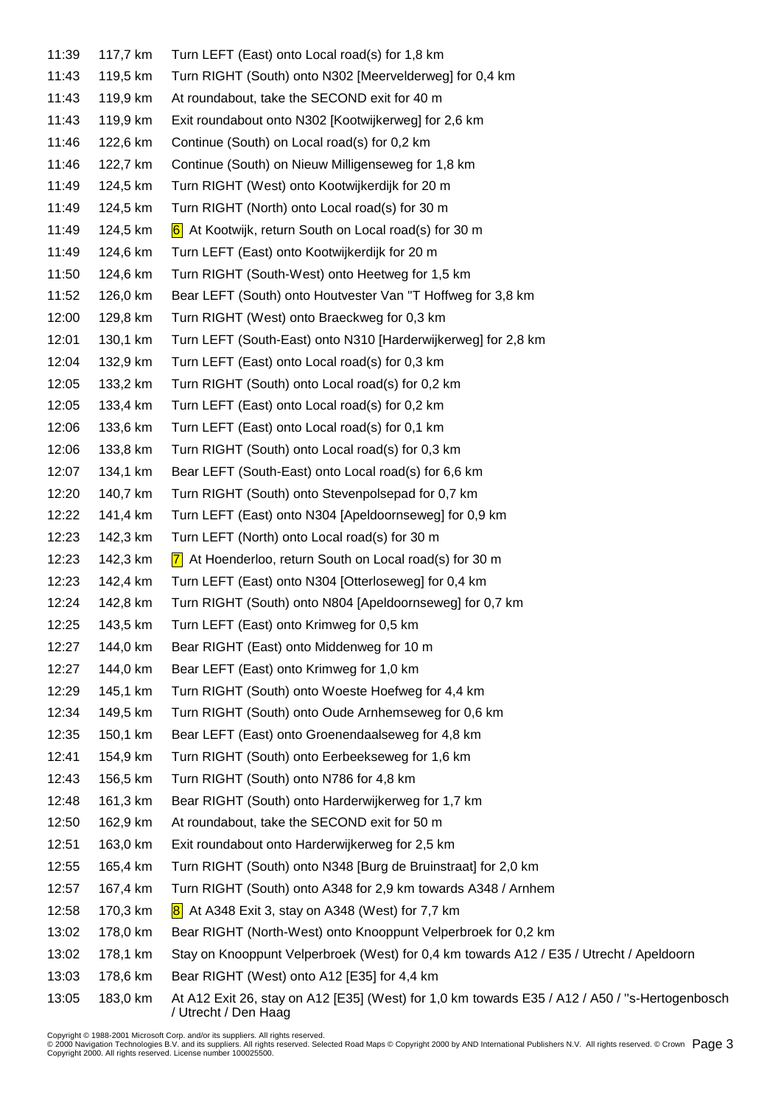| 11:39 | 117,7 km | Turn LEFT (East) onto Local road(s) for 1,8 km                                                                         |
|-------|----------|------------------------------------------------------------------------------------------------------------------------|
| 11:43 | 119,5 km | Turn RIGHT (South) onto N302 [Meervelderweg] for 0,4 km                                                                |
| 11:43 | 119,9 km | At roundabout, take the SECOND exit for 40 m                                                                           |
| 11:43 | 119,9 km | Exit roundabout onto N302 [Kootwijkerweg] for 2,6 km                                                                   |
| 11:46 | 122,6 km | Continue (South) on Local road(s) for 0,2 km                                                                           |
| 11:46 | 122,7 km | Continue (South) on Nieuw Milligenseweg for 1,8 km                                                                     |
| 11:49 | 124,5 km | Turn RIGHT (West) onto Kootwijkerdijk for 20 m                                                                         |
| 11:49 | 124,5 km | Turn RIGHT (North) onto Local road(s) for 30 m                                                                         |
| 11:49 | 124,5 km | 6 At Kootwijk, return South on Local road(s) for 30 m                                                                  |
| 11:49 | 124,6 km | Turn LEFT (East) onto Kootwijkerdijk for 20 m                                                                          |
| 11:50 | 124,6 km | Turn RIGHT (South-West) onto Heetweg for 1,5 km                                                                        |
| 11:52 | 126,0 km | Bear LEFT (South) onto Houtvester Van "T Hoffweg for 3,8 km                                                            |
| 12:00 | 129,8 km | Turn RIGHT (West) onto Braeckweg for 0,3 km                                                                            |
| 12:01 | 130,1 km | Turn LEFT (South-East) onto N310 [Harderwijkerweg] for 2,8 km                                                          |
| 12:04 | 132,9 km | Turn LEFT (East) onto Local road(s) for 0,3 km                                                                         |
| 12:05 | 133,2 km | Turn RIGHT (South) onto Local road(s) for 0,2 km                                                                       |
| 12:05 | 133,4 km | Turn LEFT (East) onto Local road(s) for 0,2 km                                                                         |
| 12:06 | 133,6 km | Turn LEFT (East) onto Local road(s) for 0,1 km                                                                         |
| 12:06 | 133,8 km | Turn RIGHT (South) onto Local road(s) for 0,3 km                                                                       |
| 12:07 | 134,1 km | Bear LEFT (South-East) onto Local road(s) for 6,6 km                                                                   |
| 12:20 | 140,7 km | Turn RIGHT (South) onto Stevenpolsepad for 0,7 km                                                                      |
| 12:22 | 141,4 km | Turn LEFT (East) onto N304 [Apeldoornseweg] for 0,9 km                                                                 |
| 12:23 | 142,3 km | Turn LEFT (North) onto Local road(s) for 30 m                                                                          |
| 12:23 | 142,3 km | $ 7 $ At Hoenderloo, return South on Local road(s) for 30 m                                                            |
| 12:23 | 142,4 km | Turn LEFT (East) onto N304 [Otterloseweg] for 0,4 km                                                                   |
| 12:24 | 142,8 km | Turn RIGHT (South) onto N804 [Apeldoornseweg] for 0,7 km                                                               |
| 12:25 | 143,5 km | Turn LEFT (East) onto Krimweg for 0,5 km                                                                               |
| 12:27 | 144,0 km | Bear RIGHT (East) onto Middenweg for 10 m                                                                              |
| 12:27 | 144,0 km | Bear LEFT (East) onto Krimweg for 1,0 km                                                                               |
| 12:29 | 145,1 km | Turn RIGHT (South) onto Woeste Hoefweg for 4,4 km                                                                      |
| 12:34 | 149,5 km | Turn RIGHT (South) onto Oude Arnhemseweg for 0,6 km                                                                    |
| 12:35 | 150,1 km | Bear LEFT (East) onto Groenendaalseweg for 4,8 km                                                                      |
| 12:41 | 154,9 km | Turn RIGHT (South) onto Eerbeekseweg for 1,6 km                                                                        |
| 12:43 | 156,5 km | Turn RIGHT (South) onto N786 for 4,8 km                                                                                |
| 12:48 | 161,3 km | Bear RIGHT (South) onto Harderwijkerweg for 1,7 km                                                                     |
| 12:50 | 162,9 km | At roundabout, take the SECOND exit for 50 m                                                                           |
| 12:51 | 163,0 km | Exit roundabout onto Harderwijkerweg for 2,5 km                                                                        |
| 12:55 | 165,4 km | Turn RIGHT (South) onto N348 [Burg de Bruinstraat] for 2,0 km                                                          |
| 12:57 | 167,4 km | Turn RIGHT (South) onto A348 for 2,9 km towards A348 / Arnhem                                                          |
| 12:58 | 170,3 km | $\vert$ 8 At A348 Exit 3, stay on A348 (West) for 7,7 km                                                               |
| 13:02 | 178,0 km | Bear RIGHT (North-West) onto Knooppunt Velperbroek for 0,2 km                                                          |
| 13:02 | 178,1 km | Stay on Knooppunt Velperbroek (West) for 0,4 km towards A12 / E35 / Utrecht / Apeldoorn                                |
| 13:03 | 178,6 km | Bear RIGHT (West) onto A12 [E35] for 4,4 km                                                                            |
| 13:05 | 183,0 km | At A12 Exit 26, stay on A12 [E35] (West) for 1,0 km towards E35 / A12 / A50 / "s-Hertogenbosch<br>/ Utrecht / Den Haag |

Copyright © 1988-2001 Microsoft Corp. and/or its suppliers. All rights reserved.<br>© 2000 Navigation Technologies B.V. and its suppliers. All rights reserved. Selected Road Maps © Copyright 2000 by AND International Publish